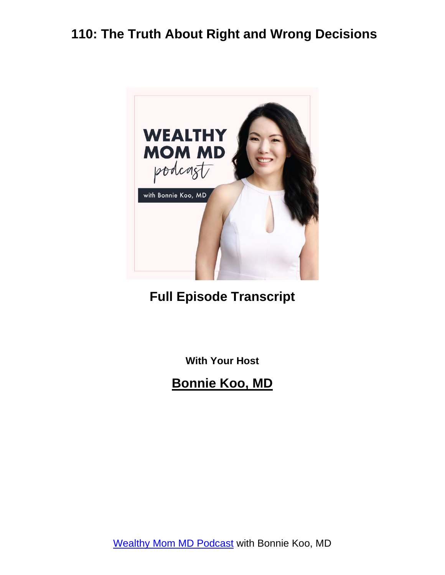

#### **Full Episode Transcript**

**With Your Host**

**Bonnie Koo, MD**

[Wealthy Mom MD Podcast](https://wealthymommd.com/podcast/) with Bonnie Koo, MD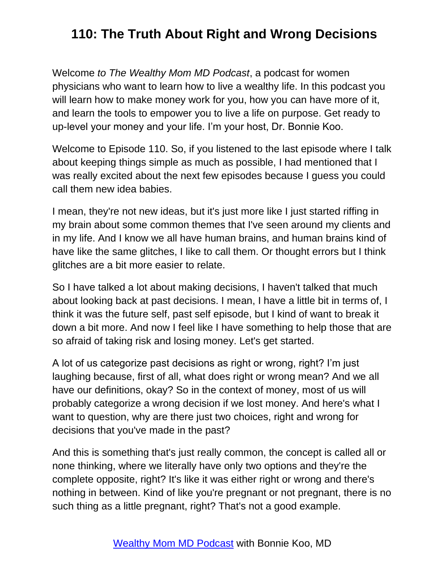Welcome *to The Wealthy Mom MD Podcast*, a podcast for women physicians who want to learn how to live a wealthy life. In this podcast you will learn how to make money work for you, how you can have more of it, and learn the tools to empower you to live a life on purpose. Get ready to up-level your money and your life. I'm your host, Dr. Bonnie Koo.

Welcome to Episode 110. So, if you listened to the last episode where I talk about keeping things simple as much as possible, I had mentioned that I was really excited about the next few episodes because I guess you could call them new idea babies.

I mean, they're not new ideas, but it's just more like I just started riffing in my brain about some common themes that I've seen around my clients and in my life. And I know we all have human brains, and human brains kind of have like the same glitches, I like to call them. Or thought errors but I think glitches are a bit more easier to relate.

So I have talked a lot about making decisions, I haven't talked that much about looking back at past decisions. I mean, I have a little bit in terms of, I think it was the future self, past self episode, but I kind of want to break it down a bit more. And now I feel like I have something to help those that are so afraid of taking risk and losing money. Let's get started.

A lot of us categorize past decisions as right or wrong, right? I'm just laughing because, first of all, what does right or wrong mean? And we all have our definitions, okay? So in the context of money, most of us will probably categorize a wrong decision if we lost money. And here's what I want to question, why are there just two choices, right and wrong for decisions that you've made in the past?

And this is something that's just really common, the concept is called all or none thinking, where we literally have only two options and they're the complete opposite, right? It's like it was either right or wrong and there's nothing in between. Kind of like you're pregnant or not pregnant, there is no such thing as a little pregnant, right? That's not a good example.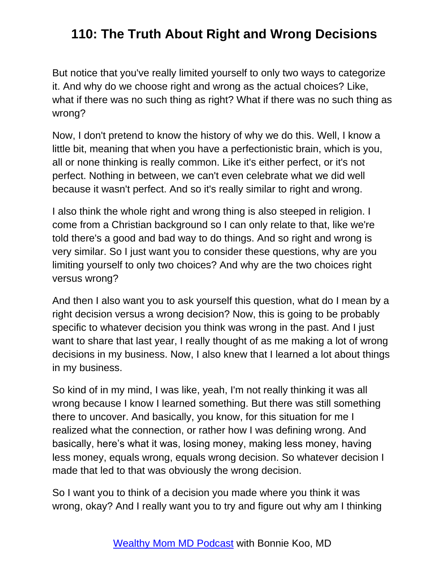But notice that you've really limited yourself to only two ways to categorize it. And why do we choose right and wrong as the actual choices? Like, what if there was no such thing as right? What if there was no such thing as wrong?

Now, I don't pretend to know the history of why we do this. Well, I know a little bit, meaning that when you have a perfectionistic brain, which is you, all or none thinking is really common. Like it's either perfect, or it's not perfect. Nothing in between, we can't even celebrate what we did well because it wasn't perfect. And so it's really similar to right and wrong.

I also think the whole right and wrong thing is also steeped in religion. I come from a Christian background so I can only relate to that, like we're told there's a good and bad way to do things. And so right and wrong is very similar. So I just want you to consider these questions, why are you limiting yourself to only two choices? And why are the two choices right versus wrong?

And then I also want you to ask yourself this question, what do I mean by a right decision versus a wrong decision? Now, this is going to be probably specific to whatever decision you think was wrong in the past. And I just want to share that last year, I really thought of as me making a lot of wrong decisions in my business. Now, I also knew that I learned a lot about things in my business.

So kind of in my mind, I was like, yeah, I'm not really thinking it was all wrong because I know I learned something. But there was still something there to uncover. And basically, you know, for this situation for me I realized what the connection, or rather how I was defining wrong. And basically, here's what it was, losing money, making less money, having less money, equals wrong, equals wrong decision. So whatever decision I made that led to that was obviously the wrong decision.

So I want you to think of a decision you made where you think it was wrong, okay? And I really want you to try and figure out why am I thinking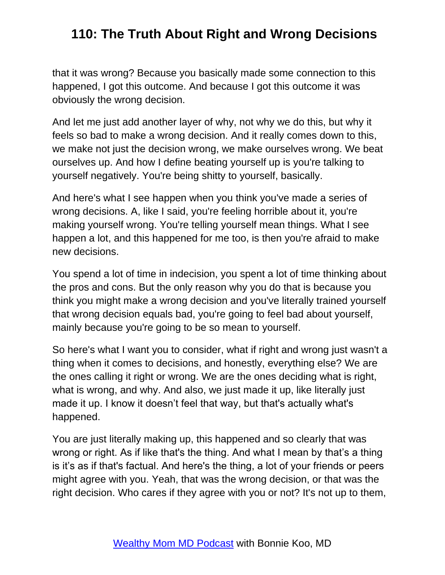that it was wrong? Because you basically made some connection to this happened, I got this outcome. And because I got this outcome it was obviously the wrong decision.

And let me just add another layer of why, not why we do this, but why it feels so bad to make a wrong decision. And it really comes down to this, we make not just the decision wrong, we make ourselves wrong. We beat ourselves up. And how I define beating yourself up is you're talking to yourself negatively. You're being shitty to yourself, basically.

And here's what I see happen when you think you've made a series of wrong decisions. A, like I said, you're feeling horrible about it, you're making yourself wrong. You're telling yourself mean things. What I see happen a lot, and this happened for me too, is then you're afraid to make new decisions.

You spend a lot of time in indecision, you spent a lot of time thinking about the pros and cons. But the only reason why you do that is because you think you might make a wrong decision and you've literally trained yourself that wrong decision equals bad, you're going to feel bad about yourself, mainly because you're going to be so mean to yourself.

So here's what I want you to consider, what if right and wrong just wasn't a thing when it comes to decisions, and honestly, everything else? We are the ones calling it right or wrong. We are the ones deciding what is right, what is wrong, and why. And also, we just made it up, like literally just made it up. I know it doesn't feel that way, but that's actually what's happened.

You are just literally making up, this happened and so clearly that was wrong or right. As if like that's the thing. And what I mean by that's a thing is it's as if that's factual. And here's the thing, a lot of your friends or peers might agree with you. Yeah, that was the wrong decision, or that was the right decision. Who cares if they agree with you or not? It's not up to them,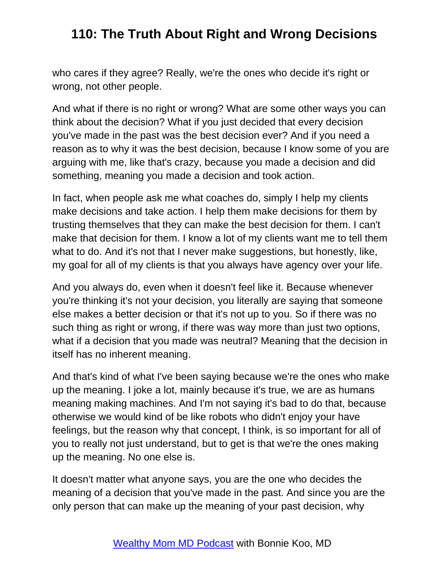who cares if they agree? Really, we're the ones who decide it's right or wrong, not other people.

And what if there is no right or wrong? What are some other ways you can think about the decision? What if you just decided that every decision you've made in the past was the best decision ever? And if you need a reason as to why it was the best decision, because I know some of you are arguing with me, like that's crazy, because you made a decision and did something, meaning you made a decision and took action.

In fact, when people ask me what coaches do, simply I help my clients make decisions and take action. I help them make decisions for them by trusting themselves that they can make the best decision for them. I can't make that decision for them. I know a lot of my clients want me to tell them what to do. And it's not that I never make suggestions, but honestly, like, my goal for all of my clients is that you always have agency over your life.

And you always do, even when it doesn't feel like it. Because whenever you're thinking it's not your decision, you literally are saying that someone else makes a better decision or that it's not up to you. So if there was no such thing as right or wrong, if there was way more than just two options, what if a decision that you made was neutral? Meaning that the decision in itself has no inherent meaning.

And that's kind of what I've been saying because we're the ones who make up the meaning. I joke a lot, mainly because it's true, we are as humans meaning making machines. And I'm not saying it's bad to do that, because otherwise we would kind of be like robots who didn't enjoy your have feelings, but the reason why that concept, I think, is so important for all of you to really not just understand, but to get is that we're the ones making up the meaning. No one else is.

It doesn't matter what anyone says, you are the one who decides the meaning of a decision that you've made in the past. And since you are the only person that can make up the meaning of your past decision, why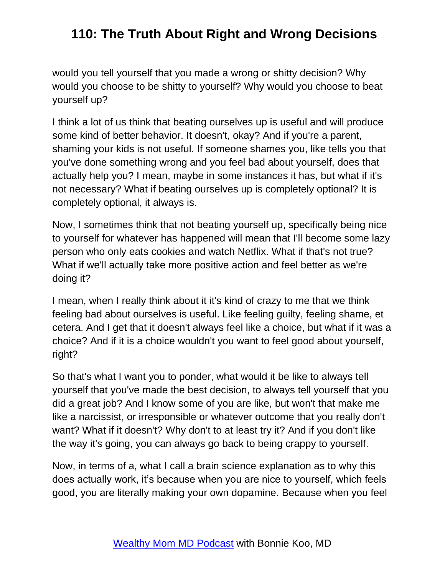would you tell yourself that you made a wrong or shitty decision? Why would you choose to be shitty to yourself? Why would you choose to beat yourself up?

I think a lot of us think that beating ourselves up is useful and will produce some kind of better behavior. It doesn't, okay? And if you're a parent, shaming your kids is not useful. If someone shames you, like tells you that you've done something wrong and you feel bad about yourself, does that actually help you? I mean, maybe in some instances it has, but what if it's not necessary? What if beating ourselves up is completely optional? It is completely optional, it always is.

Now, I sometimes think that not beating yourself up, specifically being nice to yourself for whatever has happened will mean that I'll become some lazy person who only eats cookies and watch Netflix. What if that's not true? What if we'll actually take more positive action and feel better as we're doing it?

I mean, when I really think about it it's kind of crazy to me that we think feeling bad about ourselves is useful. Like feeling guilty, feeling shame, et cetera. And I get that it doesn't always feel like a choice, but what if it was a choice? And if it is a choice wouldn't you want to feel good about yourself, right?

So that's what I want you to ponder, what would it be like to always tell yourself that you've made the best decision, to always tell yourself that you did a great job? And I know some of you are like, but won't that make me like a narcissist, or irresponsible or whatever outcome that you really don't want? What if it doesn't? Why don't to at least try it? And if you don't like the way it's going, you can always go back to being crappy to yourself.

Now, in terms of a, what I call a brain science explanation as to why this does actually work, it's because when you are nice to yourself, which feels good, you are literally making your own dopamine. Because when you feel